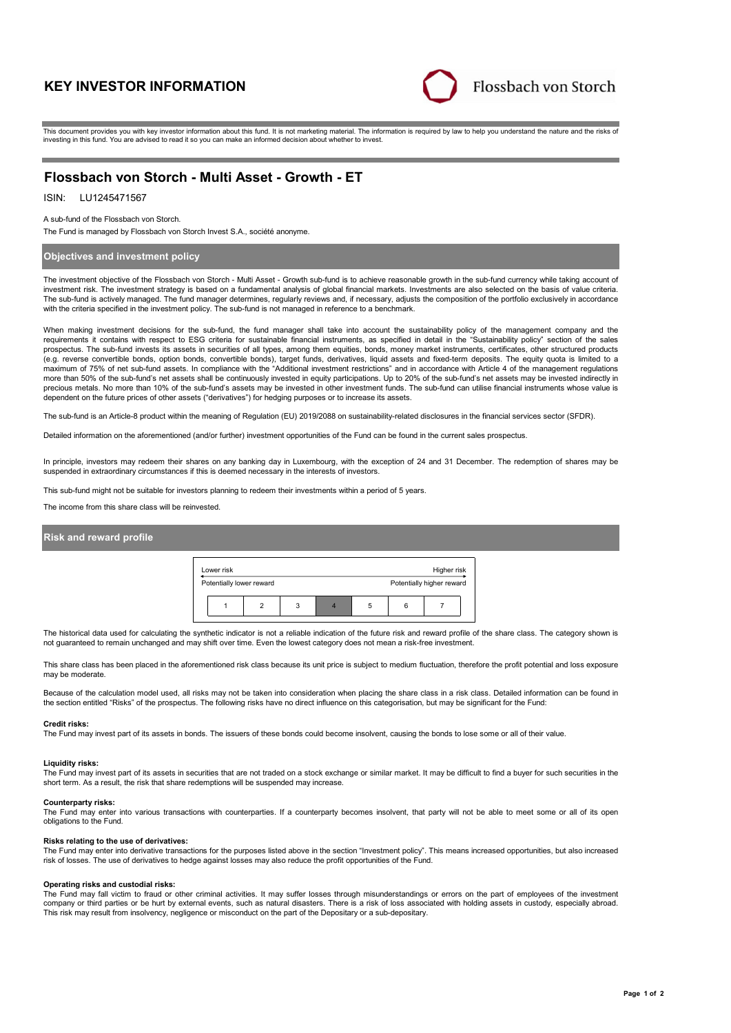# **KEY INVESTOR INFORMATION**



This document provides you with key investor information about this fund. It is not marketing material. The information is required by law to help you understand the nature and the risks of investing in this fund. You are advised to read it so you can make an informed decision about whether to invest.

# **Flossbach von Storch - Multi Asset - Growth - ET**

# ISIN: LU1245471567

#### A sub-fund of the Flossbach von Storch.

The Fund is managed by Flossbach von Storch Invest S.A., société anonyme.

## **Objectives and investment policy**

The investment objective of the Flossbach von Storch - Multi Asset - Growth sub-fund is to achieve reasonable growth in the sub-fund currency while taking account of investment risk. The investment strategy is based on a fundamental analysis of global financial markets. Investments are also selected on the basis of value criteria. The sub-fund is actively managed. The fund manager determines, regularly reviews and, if necessary, adjusts the composition of the portfolio exclusively in accordance with the criteria specified in the investment policy. The sub-fund is not managed in reference to a benchmark.

When making investment decisions for the sub-fund, the fund manager shall take into account the sustainability policy of the management company and the requirements it contains with respect to ESG criteria for sustainable financial instruments, as specified in detail in the "Sustainability policy" section of the sales prospectus. The sub-fund invests its assets in securities of all types, among them equities, bonds, money market instruments, certificates, other structured products<br>(e.g. reverse convertible bonds, option bonds, convertib maximum of 75% of net sub-fund assets. In compliance with the "Additional investment restrictions" and in accordance with Article 4 of the management regulations more than 50% of the sub-fund's net assets shall be continuously invested in equity participations. Up to 20% of the sub-fund's net assets may be invested indirectly in precious metals. No more than 10% of the sub-fund's assets may be invested in other investment funds. The sub-fund can utilise financial instruments whose value is dependent on the future prices of other assets ("derivatives") for hedging purposes or to increase its assets.

The sub-fund is an Article-8 product within the meaning of Regulation (EU) 2019/2088 on sustainability-related disclosures in the financial services sector (SFDR).

Detailed information on the aforementioned (and/or further) investment opportunities of the Fund can be found in the current sales prospectus.

In principle, investors may redeem their shares on any banking day in Luxembourg, with the exception of 24 and 31 December. The redemption of shares may be suspended in extraordinary circumstances if this is deemed necessary in the interests of investors.

This sub-fund might not be suitable for investors planning to redeem their investments within a period of 5 years.

The income from this share class will be reinvested.

# **Risk and reward profile**

| Lower risk               |  |   | Higher risk |   |  |                           |
|--------------------------|--|---|-------------|---|--|---------------------------|
| Potentially lower reward |  |   |             |   |  | Potentially higher reward |
|                          |  | 3 |             | b |  |                           |

The historical data used for calculating the synthetic indicator is not a reliable indication of the future risk and reward profile of the share class. The category shown is not guaranteed to remain unchanged and may shift over time. Even the lowest category does not mean a risk-free investment.

This share class has been placed in the aforementioned risk class because its unit price is subject to medium fluctuation, therefore the profit potential and loss exposure may be moderate

Because of the calculation model used, all risks may not be taken into consideration when placing the share class in a risk class. Detailed information can be found in the section entitled "Risks" of the prospectus. The following risks have no direct influence on this categorisation, but may be significant for the Fund:

#### **Credit risks:**

The Fund may invest part of its assets in bonds. The issuers of these bonds could become insolvent, causing the bonds to lose some or all of their value.

#### **Liquidity risks:**

The Fund may invest part of its assets in securities that are not traded on a stock exchange or similar market. It may be difficult to find a buyer for such securities in the short term. As a result, the risk that share redemptions will be suspended may increase.

#### **Counterparty risks:**

The Fund may enter into various transactions with counterparties. If a counterparty becomes insolvent, that party will not be able to meet some or all of its open obligations to the Fund.

#### **Risks relating to the use of derivatives:**

The Fund may enter into derivative transactions for the purposes listed above in the section "Investment policy". This means increased opportunities, but also increased risk of losses. The use of derivatives to hedge against losses may also reduce the profit opportunities of the Fund.

#### **Operating risks and custodial risks:**

The Fund may fall victim to fraud or other criminal activities. It may suffer losses through misunderstandings or errors on the part of employees of the investment company or third parties or be hurt by external events, such as natural disasters. There is a risk of loss associated with holding assets in custody, especially abroad. This risk may result from insolvency, negligence or misconduct on the part of the Depositary or a sub-depositary.